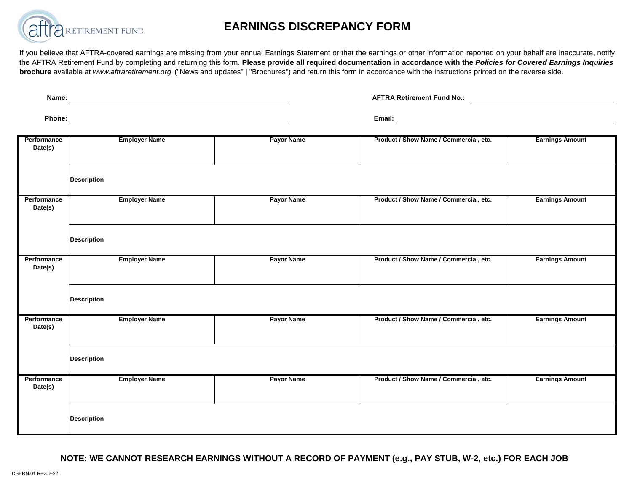

## **EARNINGS DISCREPANCY FORM**

If you believe that AFTRA-covered earnings are missing from your annual Earnings Statement or that the earnings or other information reported on your behalf are inaccurate, notify the AFTRA Retirement Fund by completing and returning this form. Please provide all required documentation in accordance with the Policies for Covered Earnings Inquiries **brochure** available at *www.aftraretirement.org* ("News and updates" | "Brochures") and return this form in accordance with the instructions printed on the reverse side.

| Name:<br><u> 1980 - Andrea Barbara, poeta esperanto-poeta esperanto-poeta esperanto-poeta esperanto-poeta esperanto-poeta</u> |                    |                      |                   | <b>AFTRA Retirement Fund No.:</b>      |                        |  |
|-------------------------------------------------------------------------------------------------------------------------------|--------------------|----------------------|-------------------|----------------------------------------|------------------------|--|
|                                                                                                                               |                    |                      |                   |                                        |                        |  |
| Performance<br>Date(s)                                                                                                        |                    | <b>Employer Name</b> | <b>Payor Name</b> | Product / Show Name / Commercial, etc. | <b>Earnings Amount</b> |  |
|                                                                                                                               | <b>Description</b> |                      |                   |                                        |                        |  |
| Performance<br>Date(s)                                                                                                        |                    | <b>Employer Name</b> | <b>Payor Name</b> | Product / Show Name / Commercial, etc. | <b>Earnings Amount</b> |  |
|                                                                                                                               | <b>Description</b> |                      |                   |                                        |                        |  |
| Performance<br>Date(s)                                                                                                        |                    | <b>Employer Name</b> | <b>Payor Name</b> | Product / Show Name / Commercial, etc. | <b>Earnings Amount</b> |  |
|                                                                                                                               | <b>Description</b> |                      |                   |                                        |                        |  |
| Performance<br>Date(s)                                                                                                        |                    | <b>Employer Name</b> | <b>Payor Name</b> | Product / Show Name / Commercial, etc. | <b>Earnings Amount</b> |  |
|                                                                                                                               | <b>Description</b> |                      |                   |                                        |                        |  |
| Performance<br>Date(s)                                                                                                        |                    | <b>Employer Name</b> | <b>Payor Name</b> | Product / Show Name / Commercial, etc. | <b>Earnings Amount</b> |  |
|                                                                                                                               | <b>Description</b> |                      |                   |                                        |                        |  |

**NOTE: WE CANNOT RESEARCH EARNINGS WITHOUT A RECORD OF PAYMENT (e.g., PAY STUB, W-2, etc.) FOR EACH JOB**